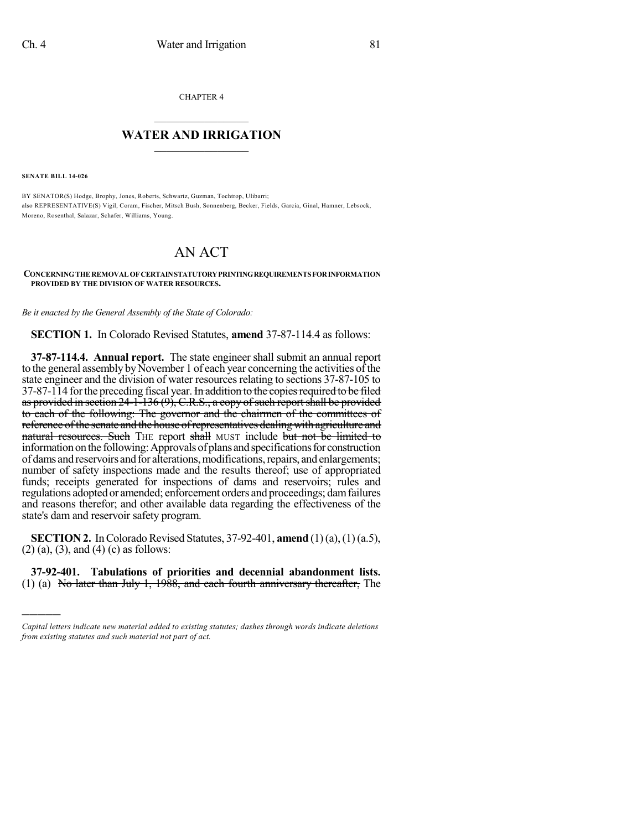CHAPTER 4

## $\mathcal{L}_\text{max}$  . The set of the set of the set of the set of the set of the set of the set of the set of the set of the set of the set of the set of the set of the set of the set of the set of the set of the set of the set **WATER AND IRRIGATION**  $\_$   $\_$

**SENATE BILL 14-026**

)))))

BY SENATOR(S) Hodge, Brophy, Jones, Roberts, Schwartz, Guzman, Tochtrop, Ulibarri; also REPRESENTATIVE(S) Vigil, Coram, Fischer, Mitsch Bush, Sonnenberg, Becker, Fields, Garcia, Ginal, Hamner, Lebsock, Moreno, Rosenthal, Salazar, Schafer, Williams, Young.

## AN ACT

## **CONCERNINGTHEREMOVALOFCERTAINSTATUTORYPRINTINGREQUIREMENTSFORINFORMATION PROVIDED BY THE DIVISION OF WATER RESOURCES.**

*Be it enacted by the General Assembly of the State of Colorado:*

**SECTION 1.** In Colorado Revised Statutes, **amend** 37-87-114.4 as follows:

**37-87-114.4. Annual report.** The state engineer shall submit an annual report to the general assembly by November 1 of each year concerning the activities of the state engineer and the division of water resources relating to sections 37-87-105 to 37-87-114 for the preceding fiscal year. In addition to the copies required to be filed as provided in section  $24$ -1-136 (9), C.R.S., a copy of such report shall be provided to each of the following: The governor and the chairmen of the committees of reference of the senate and the house of representatives dealing with agriculture and natural resources. Such THE report shall MUST include but not be limited to information on the following: Approvals of plans and specifications for construction of dams and reservoirs and for alterations, modifications, repairs, and enlargements; number of safety inspections made and the results thereof; use of appropriated funds; receipts generated for inspections of dams and reservoirs; rules and regulations adopted or amended; enforcement orders and proceedings; damfailures and reasons therefor; and other available data regarding the effectiveness of the state's dam and reservoir safety program.

**SECTION 2.** In Colorado Revised Statutes, 37-92-401, **amend** (1)(a), (1)(a.5), (2) (a), (3), and (4) (c) as follows:

**37-92-401. Tabulations of priorities and decennial abandonment lists.** (1) (a) No later than July 1, 1988, and each fourth anniversary thereafter. The

*Capital letters indicate new material added to existing statutes; dashes through words indicate deletions from existing statutes and such material not part of act.*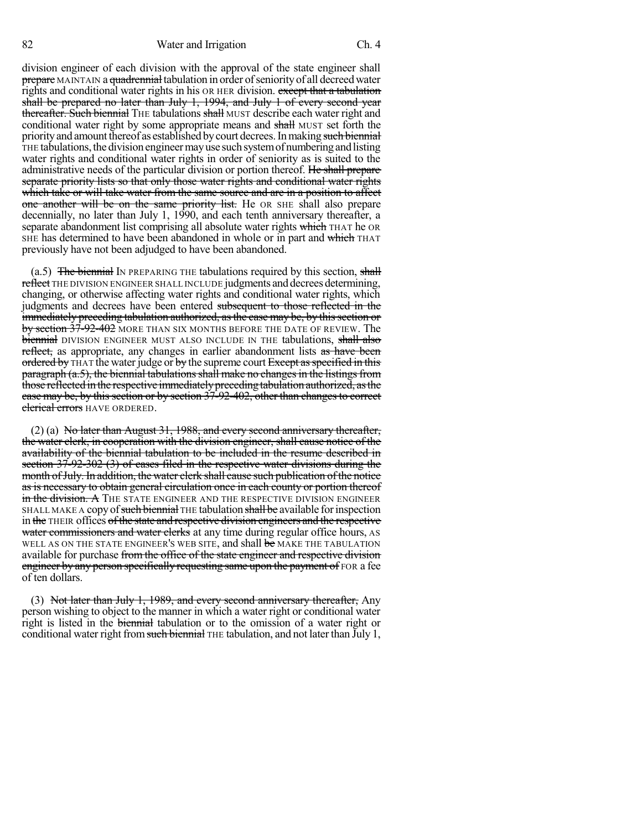82 Water and Irrigation Ch. 4

division engineer of each division with the approval of the state engineer shall prepare MAINTAIN a quadrennial tabulation in order of seniority of all decreed water rights and conditional water rights in his OR HER division. except that a tabulation shall be prepared no later than July 1, 1994, and July 1 of every second year thereafter. Such biennial THE tabulations shall MUST describe each water right and conditional water right by some appropriate means and shall MUST set forth the priority and amount thereof as established by court decrees. In making such biennial THE tabulations,the division engineermayuse suchsystemofnumberingandlisting water rights and conditional water rights in order of seniority as is suited to the administrative needs of the particular division or portion thereof. He shall prepare separate priority lists so that only those water rights and conditional water rights which take or will take water from the same source and are in a position to affect one another will be on the same priority list. He OR SHE shall also prepare decennially, no later than July 1, 1990, and each tenth anniversary thereafter, a separate abandonment list comprising all absolute water rights which THAT he OR SHE has determined to have been abandoned in whole or in part and which THAT previously have not been adjudged to have been abandoned.

 $(a.5)$  The biennial IN PREPARING THE tabulations required by this section, shall reflect THE DIVISION ENGINEER SHALL INCLUDE judgments and decrees determining, changing, or otherwise affecting water rights and conditional water rights, which judgments and decrees have been entered subsequent to those reflected in the immediately preceding tabulation authorized, as the case may be, by this section or by section 37-92-402 MORE THAN SIX MONTHS BEFORE THE DATE OF REVIEW. The biennial DIVISION ENGINEER MUST ALSO INCLUDE IN THE tabulations, shall also reflect, as appropriate, any changes in earlier abandonment lists as have been ordered by THAT the water judge or by the supreme court Except as specified in this  $\frac{1}{2}$  paragraph (a.5), the biennial tabulations shall make no changes in the listings from those reflected in the respective immediately preceding tabulation authorized, as the case may be, by this section or by section  $37-92-402$ , other than changes to correct clerical errors HAVE ORDERED.

(2) (a) No later than August 31, 1988, and every second anniversary thereafter, the water clerk, in cooperation with the division engineer, shall cause notice of the availability of the biennial tabulation to be included in the resume described in section 37-92-302 (3) of cases filed in the respective water divisions during the month of July. In addition, the water clerk shall cause such publication of the notice as is necessary to obtain general circulation once in each county or portion thereof in the division. A The state engineer and the respective division engineer SHALL MAKE A copy of such biennial THE tabulation shall be available for inspection in the THEIR offices ofthe state and respective division engineers and the respective water commissioners and water clerks at any time during regular office hours, AS WELL AS ON THE STATE ENGINEER'S WEB SITE, and shall be MAKE THE TABULATION available for purchase from the office of the state engineer and respective division engineer by any person specifically requesting same upon the payment of FOR a fee of ten dollars.

(3) Not later than July 1, 1989, and every second anniversary thereafter, Any person wishing to object to the manner in which a water right or conditional water right is listed in the biennial tabulation or to the omission of a water right or conditional water right from such biennial THE tabulation, and not later than July 1,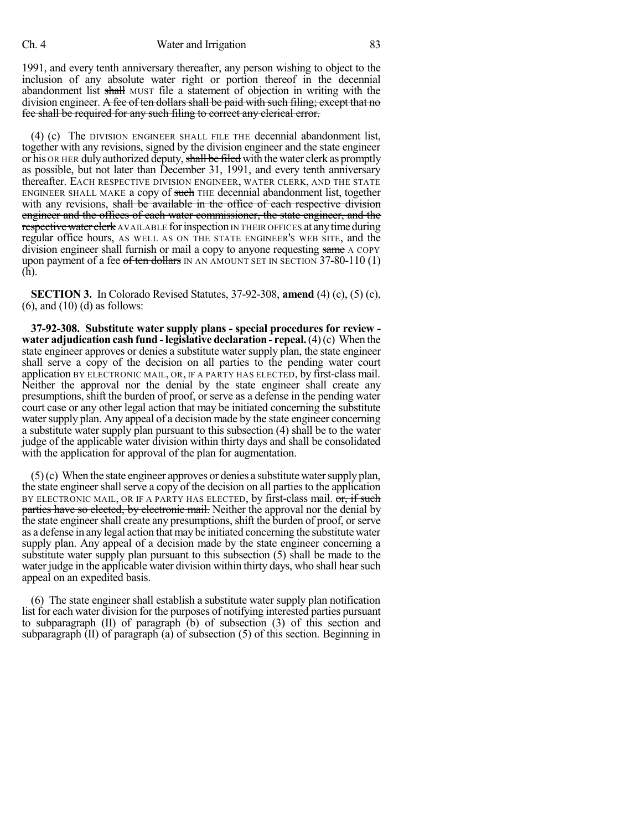1991, and every tenth anniversary thereafter, any person wishing to object to the inclusion of any absolute water right or portion thereof in the decennial abandonment list shall MUST file a statement of objection in writing with the division engineer. A fee of ten dollars shall be paid with such filing; except that no fee shall be required for any such filing to correct any clerical error.

(4) (c) The DIVISION ENGINEER SHALL FILE THE decennial abandonment list, together with any revisions, signed by the division engineer and the state engineer or his OR HER duly authorized deputy, shall be filed with the water clerk as promptly as possible, but not later than December 31, 1991, and every tenth anniversary thereafter. EACH RESPECTIVE DIVISION ENGINEER, WATER CLERK, AND THE STATE ENGINEER SHALL MAKE a copy of such THE decennial abandonment list, together with any revisions, shall be available in the office of each respective division engineer and the offices of each water commissioner, the state engineer, and the respective water clerk AVAILABLE for inspection IN THEIR OFFICES at any time during regular office hours, AS WELL AS ON THE STATE ENGINEER'S WEB SITE, and the division engineer shall furnish or mail a copy to anyone requesting same A COPY upon payment of a fee of ten dollars IN AN AMOUNT SET IN SECTION  $37-80-110(1)$ (h).

**SECTION 3.** In Colorado Revised Statutes, 37-92-308, **amend** (4) (c), (5) (c),  $(6)$ , and  $(10)$   $(d)$  as follows:

**37-92-308. Substitute water supply plans - special procedures for review water adjudication cash fund -legislative declaration - repeal.**(4)(c) When the state engineer approves or denies a substitute water supply plan, the state engineer shall serve a copy of the decision on all parties to the pending water court application BY ELECTRONIC MAIL, OR, IF A PARTY HAS ELECTED, by first-class mail. Neither the approval nor the denial by the state engineer shall create any presumptions, shift the burden of proof, or serve as a defense in the pending water court case or any other legal action that may be initiated concerning the substitute water supply plan. Any appeal of a decision made by the state engineer concerning a substitute water supply plan pursuant to this subsection (4) shall be to the water judge of the applicable water division within thirty days and shall be consolidated with the application for approval of the plan for augmentation.

 $(5)(c)$  When the state engineer approves or denies a substitute water supply plan, the state engineer shall serve a copy of the decision on all parties to the application BY ELECTRONIC MAIL, OR IF A PARTY HAS ELECTED, by first-class mail. or, if such parties have so elected, by electronic mail. Neither the approval nor the denial by the state engineer shall create any presumptions, shift the burden of proof, or serve as a defense in any legal action that may be initiated concerning the substitute water supply plan. Any appeal of a decision made by the state engineer concerning a substitute water supply plan pursuant to this subsection (5) shall be made to the water judge in the applicable water division within thirty days, who shall hearsuch appeal on an expedited basis.

(6) The state engineer shall establish a substitute water supply plan notification list for each water division for the purposes of notifying interested parties pursuant to subparagraph (II) of paragraph (b) of subsection (3) of this section and subparagraph (II) of paragraph (a) of subsection (5) of this section. Beginning in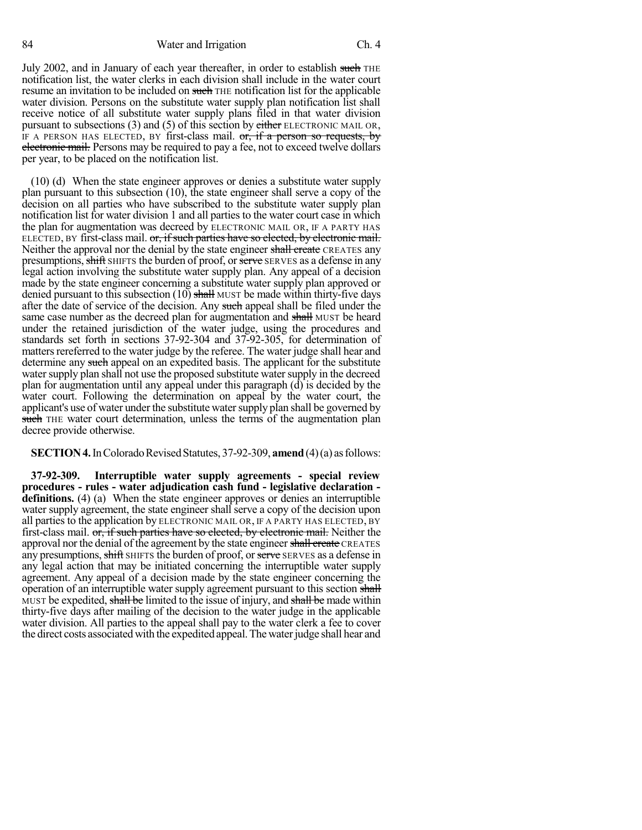July 2002, and in January of each year thereafter, in order to establish such THE notification list, the water clerks in each division shall include in the water court resume an invitation to be included on such THE notification list for the applicable water division. Persons on the substitute water supply plan notification list shall receive notice of all substitute water supply plans filed in that water division pursuant to subsections (3) and (5) of this section by either ELECTRONIC MAIL OR, IF A PERSON HAS ELECTED, BY first-class mail.  $or$ , if a person so requests, by electronic mail. Persons may be required to pay a fee, not to exceed twelve dollars per year, to be placed on the notification list.

(10) (d) When the state engineer approves or denies a substitute water supply plan pursuant to this subsection (10), the state engineer shall serve a copy of the decision on all parties who have subscribed to the substitute water supply plan notification list for water division 1 and all parties to the water court case in which the plan for augmentation was decreed by ELECTRONIC MAIL OR, IF A PARTY HAS ELECTED, BY first-class mail. or, if such parties have so elected, by electronic mail. Neither the approval nor the denial by the state engineer shall create CREATES any presumptions, shift SHIFTS the burden of proof, or serve SERVES as a defense in any legal action involving the substitute water supply plan. Any appeal of a decision made by the state engineer concerning a substitute water supply plan approved or denied pursuant to this subsection  $(10)$  shall MUST be made within thirty-five days after the date of service of the decision. Any such appeal shall be filed under the same case number as the decreed plan for augmentation and shall MUST be heard under the retained jurisdiction of the water judge, using the procedures and standards set forth in sections 37-92-304 and 37-92-305, for determination of matters rereferred to the water judge by the referee. The water judge shall hear and determine any such appeal on an expedited basis. The applicant for the substitute water supply plan shall not use the proposed substitute water supply in the decreed plan for augmentation until any appeal under this paragraph (d) is decided by the water court. Following the determination on appeal by the water court, the applicant's use of water under the substitute water supply plan shall be governed by such THE water court determination, unless the terms of the augmentation plan decree provide otherwise.

**SECTION 4.** In Colorado Revised Statutes, 37-92-309, **amend** (4)(a) as follows:

**37-92-309. Interruptible water supply agreements - special review procedures - rules - water adjudication cash fund - legislative declaration definitions.** (4) (a) When the state engineer approves or denies an interruptible water supply agreement, the state engineer shall serve a copy of the decision upon all parties to the application by ELECTRONIC MAIL OR, IF A PARTY HAS ELECTED, BY first-class mail. or, if such parties have so elected, by electronic mail. Neither the approval nor the denial of the agreement by the state engineer shall create CREATES any presumptions, shift SHIFTS the burden of proof, or serve SERVES as a defense in any legal action that may be initiated concerning the interruptible water supply agreement. Any appeal of a decision made by the state engineer concerning the operation of an interruptible water supply agreement pursuant to this section shall MUST be expedited, shall be limited to the issue of injury, and shall be made within thirty-five days after mailing of the decision to the water judge in the applicable water division. All parties to the appeal shall pay to the water clerk a fee to cover the direct costs associated with the expedited appeal.Thewaterjudge shall hear and